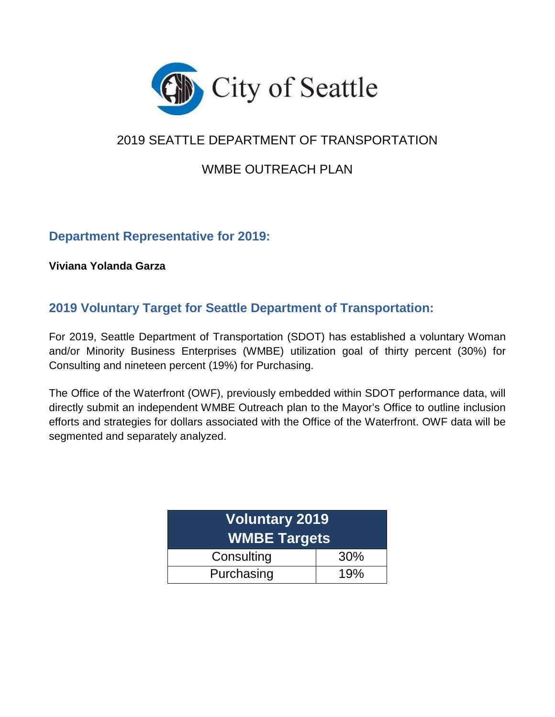

# 2019 SEATTLE DEPARTMENT OF TRANSPORTATION

# WMBE OUTREACH PLAN

# **Department Representative for 2019:**

**Viviana Yolanda Garza**

# **2019 Voluntary Target for Seattle Department of Transportation:**

For 2019, Seattle Department of Transportation (SDOT) has established a voluntary Woman and/or Minority Business Enterprises (WMBE) utilization goal of thirty percent (30%) for Consulting and nineteen percent (19%) for Purchasing.

The Office of the Waterfront (OWF), previously embedded within SDOT performance data, will directly submit an independent WMBE Outreach plan to the Mayor's Office to outline inclusion efforts and strategies for dollars associated with the Office of the Waterfront. OWF data will be segmented and separately analyzed.

| <b>Voluntary 2019</b><br><b>WMBE Targets</b> |  |  |  |  |  |
|----------------------------------------------|--|--|--|--|--|
| Consulting<br>30%                            |  |  |  |  |  |
| Purchasing<br>19%                            |  |  |  |  |  |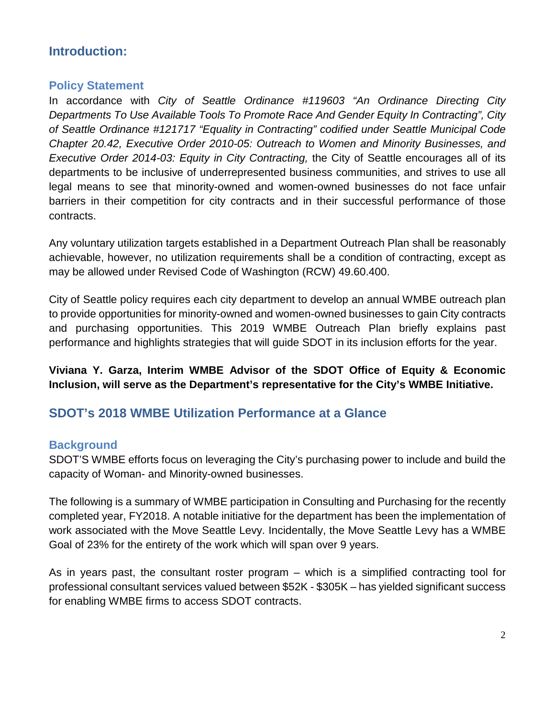# **Introduction:**

# **Policy Statement**

In accordance with *City of Seattle Ordinance #119603 "An Ordinance Directing City Departments To Use Available Tools To Promote Race And Gender Equity In Contracting", City of Seattle Ordinance #121717 "Equality in Contracting" codified under Seattle Municipal Code Chapter 20.42, Executive Order 2010-05: Outreach to Women and Minority Businesses, and Executive Order 2014-03: Equity in City Contracting,* the City of Seattle encourages all of its departments to be inclusive of underrepresented business communities, and strives to use all legal means to see that minority-owned and women-owned businesses do not face unfair barriers in their competition for city contracts and in their successful performance of those contracts.

Any voluntary utilization targets established in a Department Outreach Plan shall be reasonably achievable, however, no utilization requirements shall be a condition of contracting, except as may be allowed under Revised Code of Washington (RCW) 49.60.400.

City of Seattle policy requires each city department to develop an annual WMBE outreach plan to provide opportunities for minority-owned and women-owned businesses to gain City contracts and purchasing opportunities. This 2019 WMBE Outreach Plan briefly explains past performance and highlights strategies that will guide SDOT in its inclusion efforts for the year.

**Viviana Y. Garza, Interim WMBE Advisor of the SDOT Office of Equity & Economic Inclusion, will serve as the Department's representative for the City's WMBE Initiative.**

# **SDOT's 2018 WMBE Utilization Performance at a Glance**

# **Background**

SDOT'S WMBE efforts focus on leveraging the City's purchasing power to include and build the capacity of Woman- and Minority-owned businesses.

The following is a summary of WMBE participation in Consulting and Purchasing for the recently completed year, FY2018. A notable initiative for the department has been the implementation of work associated with the Move Seattle Levy. Incidentally, the Move Seattle Levy has a WMBE Goal of 23% for the entirety of the work which will span over 9 years.

As in years past, the consultant roster program – which is a simplified contracting tool for professional consultant services valued between \$52K - \$305K – has yielded significant success for enabling WMBE firms to access SDOT contracts.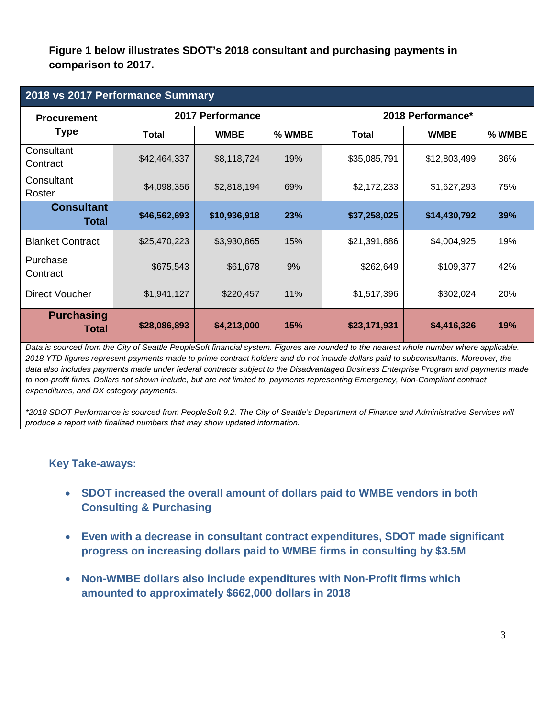**Figure 1 below illustrates SDOT's 2018 consultant and purchasing payments in comparison to 2017.**

| 2018 vs 2017 Performance Summary  |              |                  |        |                   |              |        |  |
|-----------------------------------|--------------|------------------|--------|-------------------|--------------|--------|--|
| <b>Procurement</b>                |              | 2017 Performance |        | 2018 Performance* |              |        |  |
| <b>Type</b>                       | <b>Total</b> | <b>WMBE</b>      | % WMBE | Total             | <b>WMBE</b>  | % WMBE |  |
| Consultant<br>Contract            | \$42,464,337 | \$8,118,724      | 19%    | \$35,085,791      | \$12,803,499 | 36%    |  |
| Consultant<br>Roster              | \$4,098,356  | \$2,818,194      | 69%    | \$2,172,233       | \$1,627,293  | 75%    |  |
| <b>Consultant</b><br><b>Total</b> | \$46,562,693 | \$10,936,918     | 23%    | \$37,258,025      | \$14,430,792 | 39%    |  |
| <b>Blanket Contract</b>           | \$25,470,223 | \$3,930,865      | 15%    | \$21,391,886      | \$4,004,925  | 19%    |  |
| Purchase<br>Contract              | \$675,543    | \$61,678         | 9%     | \$262,649         | \$109,377    | 42%    |  |
| Direct Voucher                    | \$1,941,127  | \$220,457        | 11%    | \$1,517,396       | \$302,024    | 20%    |  |
| <b>Purchasing</b><br>Total        | \$28,086,893 | \$4,213,000      | 15%    | \$23,171,931      | \$4,416,326  | 19%    |  |

*Data is sourced from the City of Seattle PeopleSoft financial system. Figures are rounded to the nearest whole number where applicable. 2018 YTD figures represent payments made to prime contract holders and do not include dollars paid to subconsultants. Moreover, the data also includes payments made under federal contracts subject to the Disadvantaged Business Enterprise Program and payments made to non-profit firms. Dollars not shown include, but are not limited to, payments representing Emergency, Non-Compliant contract expenditures, and DX category payments.*

*\*2018 SDOT Performance is sourced from PeopleSoft 9.2. The City of Seattle's Department of Finance and Administrative Services will produce a report with finalized numbers that may show updated information.*

# **Key Take-aways:**

- **SDOT increased the overall amount of dollars paid to WMBE vendors in both Consulting & Purchasing**
- **Even with a decrease in consultant contract expenditures, SDOT made significant progress on increasing dollars paid to WMBE firms in consulting by \$3.5M**
- **Non-WMBE dollars also include expenditures with Non-Profit firms which amounted to approximately \$662,000 dollars in 2018**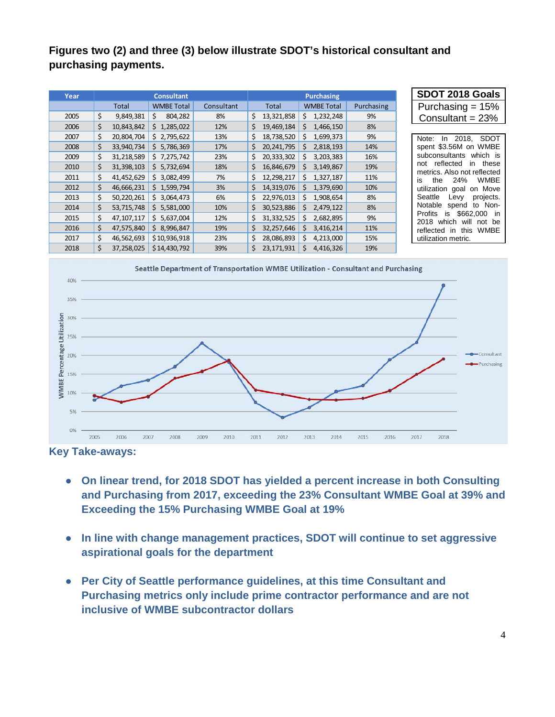# **Figures two (2) and three (3) below illustrate SDOT's historical consultant and purchasing payments.**

| Year |    |              | <b>Consultant</b> |            |    |              |     | Purchasing        |            | SDOT 2018 Goals                                                       |
|------|----|--------------|-------------------|------------|----|--------------|-----|-------------------|------------|-----------------------------------------------------------------------|
|      |    | Total        | <b>WMBE Total</b> | Consultant |    | <b>Total</b> |     | <b>WMBE Total</b> | Purchasing | Purchasing $= 15%$                                                    |
| 2005 | \$ | 9,849,381    | Ś<br>804,282      | 8%         | Ś. | 13,321,858   |     | \$1,232,248       | 9%         | Consultant = $23%$                                                    |
| 2006 | \$ | 10,843,842   | \$1,285,022       | 12%        |    | 19,469,184   | Ś   | 1,466,150         | 8%         |                                                                       |
| 2007 | \$ | 20,804,704   | \$2,795,622       | 13%        | \$ | 18,738,520   | Ś.  | 1,699,373         | 9%         | <b>SDOT</b><br>2018.<br>Note:<br>In.                                  |
| 2008 | \$ | 33,940,734   | \$5,786,369       | 17%        | Ś. | 20,241,795   | Ś.  | 2,818,193         | 14%        | spent \$3.56M on WMBE                                                 |
| 2009 | \$ | 31,218,589   | \$7,275,742       | 23%        | Ś. | 20,333,302   | \$  | 3,203,383         | 16%        | which is<br>subconsultants                                            |
| 2010 | \$ | 31,398,103   | \$5,732,694       | 18%        | Ś. | 16,846,679   | S.  | 3,149,867         | 19%        | reflected<br>these<br>not<br><i>in</i><br>metrics. Also not reflected |
| 2011 | \$ | 41,452,629   | \$3,082,499       | 7%         | Ś. | 12,298,217   | Ś   | 1,327,187         | 11%        | <b>WMBE</b><br>24%<br>the<br>is                                       |
| 2012 | \$ | 46,666,231   | \$1,599,794       | 3%         | Ś. | 14,319,076   | Ś.  | 1,379,690         | 10%        | utilization goal<br>on Move                                           |
| 2013 | \$ | 50,220,261   | \$3,064,473       | 6%         | Ś. | 22,976,013   | Ś.  | 1,908,654         | 8%         | Seattle<br>projects.<br>Levy                                          |
| 2014 | \$ | 53,715,748   | \$5,581,000       | 10%        | Ś. | 30,523,886   | \$  | 2,479,122         | 8%         | Notable<br>to Non-<br>spend                                           |
| 2015 | \$ | 47, 107, 117 | \$5,637,004       | 12%        | Ś. | 31,332,525   | Ś.  | 2,682,895         | 9%         | \$662,000 in<br>Profits<br>is<br>which<br>2018<br>will<br>not be      |
| 2016 | \$ | 47,575,840   | \$8,996,847       | 19%        | Ś. | 32,257,646   | \$  | 3,416,214         | 11%        | this<br><b>WMBE</b><br>reflected<br>-in                               |
| 2017 | \$ | 46,562,693   | \$10,936,918      | 23%        | Ś. | 28,086,893   | \$. | 4,213,000         | 15%        | utilization metric.                                                   |
| 2018 | Ś  | 37,258,025   | \$14,430,792      | 39%        | Ś. | 23,171,931   | Ś   | 4,416,326         | 19%        |                                                                       |



**Key Take-aways:**

- **On linear trend, for 2018 SDOT has yielded a percent increase in both Consulting and Purchasing from 2017, exceeding the 23% Consultant WMBE Goal at 39% and Exceeding the 15% Purchasing WMBE Goal at 19%**
- **In line with change management practices, SDOT will continue to set aggressive aspirational goals for the department**
- **Per City of Seattle performance guidelines, at this time Consultant and Purchasing metrics only include prime contractor performance and are not inclusive of WMBE subcontractor dollars**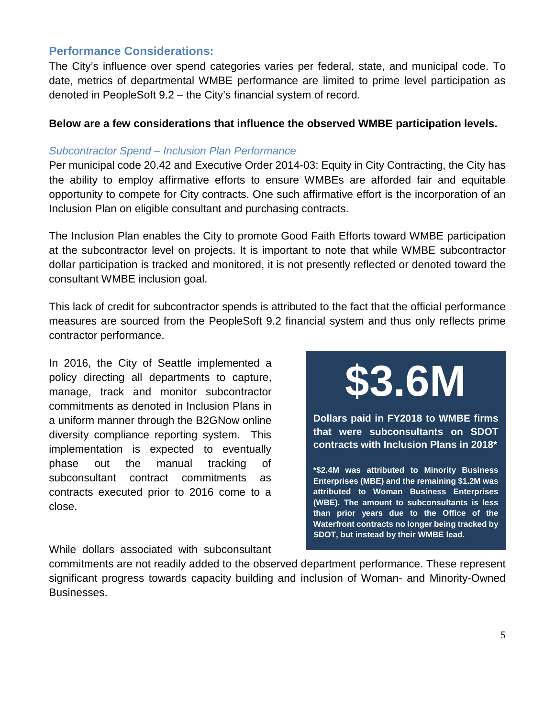# **Performance Considerations:**

The City's influence over spend categories varies per federal, state, and municipal code. To date, metrics of departmental WMBE performance are limited to prime level participation as denoted in PeopleSoft 9.2 – the City's financial system of record.

## **Below are a few considerations that influence the observed WMBE participation levels.**

#### *Subcontractor Spend – Inclusion Plan Performance*

Per municipal code 20.42 and Executive Order 2014-03: Equity in City Contracting, the City has the ability to employ affirmative efforts to ensure WMBEs are afforded fair and equitable opportunity to compete for City contracts. One such affirmative effort is the incorporation of an Inclusion Plan on eligible consultant and purchasing contracts.

The Inclusion Plan enables the City to promote Good Faith Efforts toward WMBE participation at the subcontractor level on projects. It is important to note that while WMBE subcontractor dollar participation is tracked and monitored, it is not presently reflected or denoted toward the consultant WMBE inclusion goal.

This lack of credit for subcontractor spends is attributed to the fact that the official performance measures are sourced from the PeopleSoft 9.2 financial system and thus only reflects prime contractor performance.

In 2016, the City of Seattle implemented a policy directing all departments to capture, manage, track and monitor subcontractor commitments as denoted in Inclusion Plans in a uniform manner through the B2GNow online diversity compliance reporting system. This implementation is expected to eventually phase out the manual tracking of subconsultant contract commitments as contracts executed prior to 2016 come to a close.

**\$3.6M**

**Dollars paid in FY2018 to WMBE firms that were subconsultants on SDOT contracts with Inclusion Plans in 2018\*** 

**\*\$2.4M was attributed to Minority Business Enterprises (MBE) and the remaining \$1.2M was attributed to Woman Business Enterprises (WBE). The amount to subconsultants is less than prior years due to the Office of the Waterfront contracts no longer being tracked by SDOT, but instead by their WMBE lead.**

While dollars associated with subconsultant

commitments are not readily added to the observed department performance. These represent significant progress towards capacity building and inclusion of Woman- and Minority-Owned Businesses.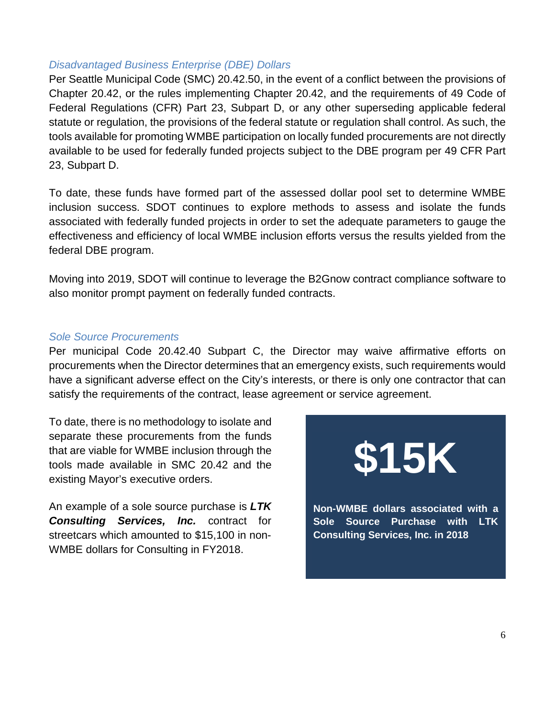#### *Disadvantaged Business Enterprise (DBE) Dollars*

Per Seattle Municipal Code (SMC) 20.42.50, in the event of a conflict between the provisions of Chapter 20.42, or the rules implementing Chapter 20.42, and the requirements of 49 Code of Federal Regulations (CFR) Part 23, Subpart D, or any other superseding applicable federal statute or regulation, the provisions of the federal statute or regulation shall control. As such, the tools available for promoting WMBE participation on locally funded procurements are not directly available to be used for federally funded projects subject to the DBE program per 49 CFR Part 23, Subpart D.

To date, these funds have formed part of the assessed dollar pool set to determine WMBE inclusion success. SDOT continues to explore methods to assess and isolate the funds associated with federally funded projects in order to set the adequate parameters to gauge the effectiveness and efficiency of local WMBE inclusion efforts versus the results yielded from the federal DBE program.

Moving into 2019, SDOT will continue to leverage the B2Gnow contract compliance software to also monitor prompt payment on federally funded contracts.

#### *Sole Source Procurements*

Per municipal Code 20.42.40 Subpart C, the Director may waive affirmative efforts on procurements when the Director determines that an emergency exists, such requirements would have a significant adverse effect on the City's interests, or there is only one contractor that can satisfy the requirements of the contract, lease agreement or service agreement.

To date, there is no methodology to isolate and separate these procurements from the funds that are viable for WMBE inclusion through the tools made available in SMC 20.42 and the existing Mayor's executive orders.

An example of a sole source purchase is *LTK Consulting Services, Inc.* contract for streetcars which amounted to \$15,100 in non-WMBE dollars for Consulting in FY2018.

# **\$15K**

**Non-WMBE dollars associated with a Sole Source Purchase with LTK Consulting Services, Inc. in 2018**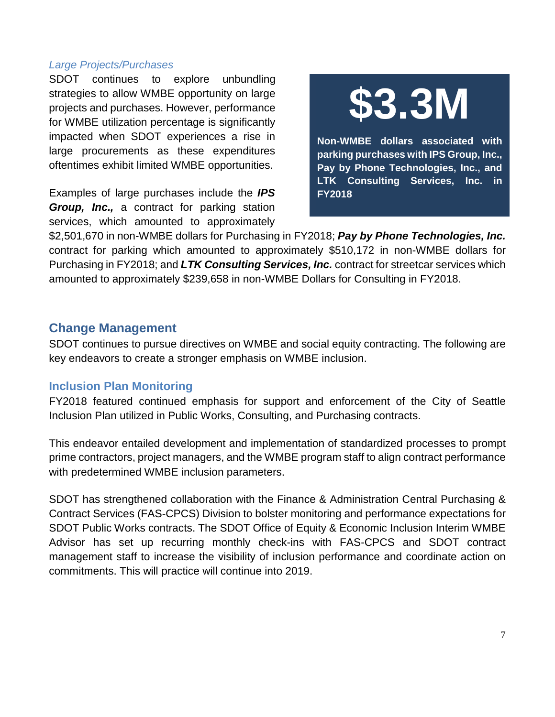#### *Large Projects/Purchases*

SDOT continues to explore unbundling strategies to allow WMBE opportunity on large projects and purchases. However, performance for WMBE utilization percentage is significantly impacted when SDOT experiences a rise in large procurements as these expenditures oftentimes exhibit limited WMBE opportunities.

Examples of large purchases include the *IPS Group, Inc.,* a contract for parking station services, which amounted to approximately



**Non-WMBE dollars associated with parking purchases with IPS Group, Inc., Pay by Phone Technologies, Inc., and LTK Consulting Services, Inc. in FY2018**

\$2,501,670 in non-WMBE dollars for Purchasing in FY2018; *Pay by Phone Technologies, Inc.* contract for parking which amounted to approximately \$510,172 in non-WMBE dollars for Purchasing in FY2018; and *LTK Consulting Services, Inc.* contract for streetcar services which amounted to approximately \$239,658 in non-WMBE Dollars for Consulting in FY2018.

# **Change Management**

SDOT continues to pursue directives on WMBE and social equity contracting. The following are key endeavors to create a stronger emphasis on WMBE inclusion.

# **Inclusion Plan Monitoring**

FY2018 featured continued emphasis for support and enforcement of the City of Seattle Inclusion Plan utilized in Public Works, Consulting, and Purchasing contracts.

This endeavor entailed development and implementation of standardized processes to prompt prime contractors, project managers, and the WMBE program staff to align contract performance with predetermined WMBE inclusion parameters.

SDOT has strengthened collaboration with the Finance & Administration Central Purchasing & Contract Services (FAS-CPCS) Division to bolster monitoring and performance expectations for SDOT Public Works contracts. The SDOT Office of Equity & Economic Inclusion Interim WMBE Advisor has set up recurring monthly check-ins with FAS-CPCS and SDOT contract management staff to increase the visibility of inclusion performance and coordinate action on commitments. This will practice will continue into 2019.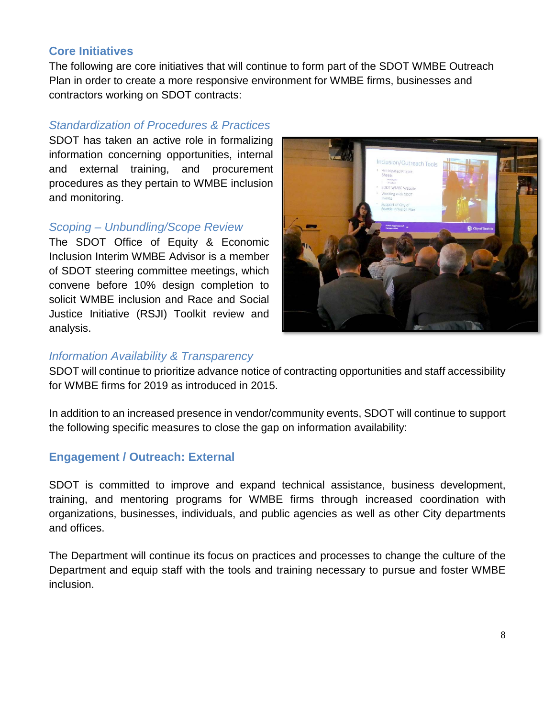# **Core Initiatives**

The following are core initiatives that will continue to form part of the SDOT WMBE Outreach Plan in order to create a more responsive environment for WMBE firms, businesses and contractors working on SDOT contracts:

# *Standardization of Procedures & Practices*

SDOT has taken an active role in formalizing information concerning opportunities, internal and external training, and procurement procedures as they pertain to WMBE inclusion and monitoring.

# *Scoping – Unbundling/Scope Review*

The SDOT Office of Equity & Economic Inclusion Interim WMBE Advisor is a member of SDOT steering committee meetings, which convene before 10% design completion to solicit WMBE inclusion and Race and Social Justice Initiative (RSJI) Toolkit review and analysis.



# *Information Availability & Transparency*

SDOT will continue to prioritize advance notice of contracting opportunities and staff accessibility for WMBE firms for 2019 as introduced in 2015.

In addition to an increased presence in vendor/community events, SDOT will continue to support the following specific measures to close the gap on information availability:

# **Engagement / Outreach: External**

SDOT is committed to improve and expand technical assistance, business development, training, and mentoring programs for WMBE firms through increased coordination with organizations, businesses, individuals, and public agencies as well as other City departments and offices.

The Department will continue its focus on practices and processes to change the culture of the Department and equip staff with the tools and training necessary to pursue and foster WMBE inclusion.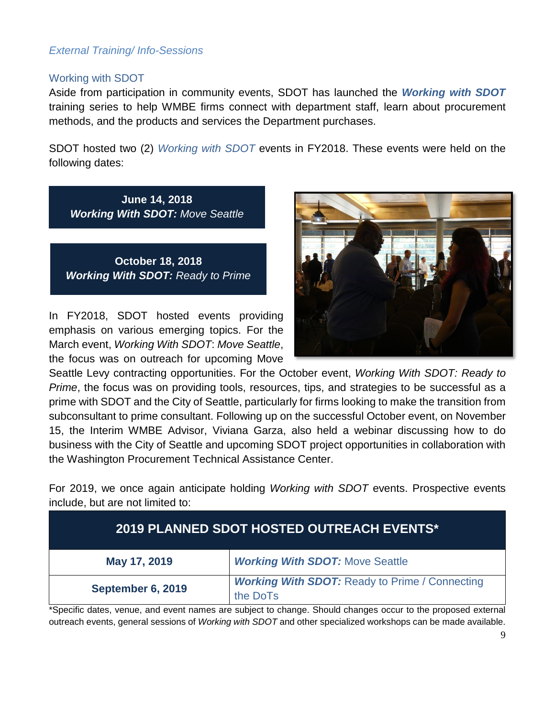## *External Training/ Info-Sessions*

#### Working with SDOT

Aside from participation in community events, SDOT has launched the *Working with SDOT*  training series to help WMBE firms connect with department staff, learn about procurement methods, and the products and services the Department purchases.

SDOT hosted two (2) *Working with SDOT* events in FY2018. These events were held on the following dates:

**June 14, 2018** *Working With SDOT: Move Seattle*

**October 18, 2018** *Working With SDOT: Ready to Prime*

In FY2018, SDOT hosted events providing emphasis on various emerging topics. For the March event, *Working With SDOT*: *Move Seattle*, the focus was on outreach for upcoming Move



Seattle Levy contracting opportunities. For the October event, *Working With SDOT: Ready to Prime*, the focus was on providing tools, resources, tips, and strategies to be successful as a prime with SDOT and the City of Seattle, particularly for firms looking to make the transition from subconsultant to prime consultant. Following up on the successful October event, on November 15, the Interim WMBE Advisor, Viviana Garza, also held a webinar discussing how to do business with the City of Seattle and upcoming SDOT project opportunities in collaboration with the Washington Procurement Technical Assistance Center.

For 2019, we once again anticipate holding *Working with SDOT* events. Prospective events include, but are not limited to:

| <b>2019 PLANNED SDOT HOSTED OUTREACH EVENTS*</b> |                                                                   |  |  |  |
|--------------------------------------------------|-------------------------------------------------------------------|--|--|--|
| May 17, 2019                                     | <b>Working With SDOT: Move Seattle</b>                            |  |  |  |
| September 6, 2019                                | <b>Working With SDOT: Ready to Prime / Connecting</b><br>the DoTs |  |  |  |

\*Specific dates, venue, and event names are subject to change. Should changes occur to the proposed external outreach events, general sessions of *Working with SDOT* and other specialized workshops can be made available.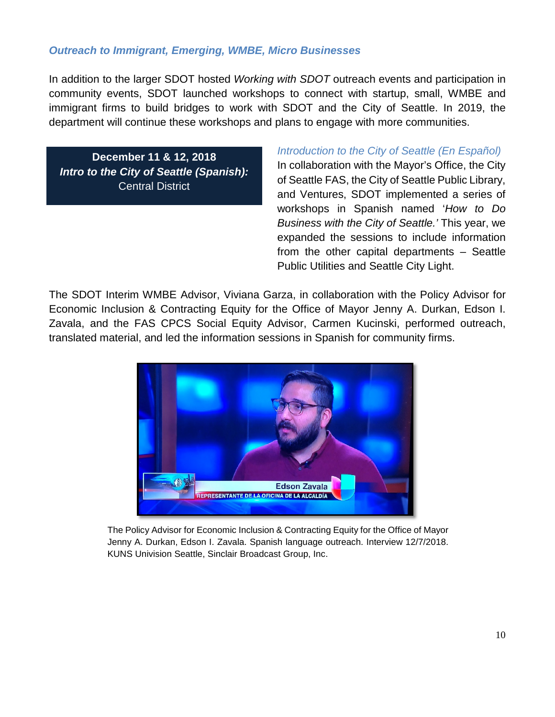## *Outreach to Immigrant, Emerging, WMBE, Micro Businesses*

In addition to the larger SDOT hosted *Working with SDOT* outreach events and participation in community events, SDOT launched workshops to connect with startup, small, WMBE and immigrant firms to build bridges to work with SDOT and the City of Seattle. In 2019, the department will continue these workshops and plans to engage with more communities.

**December 11 & 12, 2018** *Intro to the City of Seattle (Spanish):*  Central District

#### *Introduction to the City of Seattle (En Español)*

In collaboration with the Mayor's Office, the City of Seattle FAS, the City of Seattle Public Library, and Ventures, SDOT implemented a series of workshops in Spanish named '*How to Do Business with the City of Seattle.'* This year, we expanded the sessions to include information from the other capital departments – Seattle Public Utilities and Seattle City Light.

The SDOT Interim WMBE Advisor, Viviana Garza, in collaboration with the Policy Advisor for Economic Inclusion & Contracting Equity for the Office of Mayor Jenny A. Durkan, Edson I. Zavala, and the FAS CPCS Social Equity Advisor, Carmen Kucinski, performed outreach, translated material, and led the information sessions in Spanish for community firms.



The Policy Advisor for Economic Inclusion & Contracting Equity for the Office of Mayor Jenny A. Durkan, Edson I. Zavala. Spanish language outreach. Interview 12/7/2018. KUNS Univision Seattle, Sinclair Broadcast Group, Inc.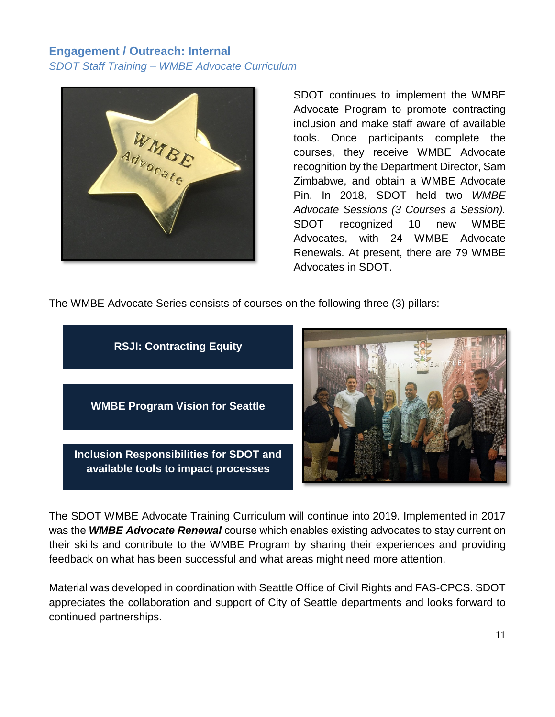# **Engagement / Outreach: Internal** *SDOT Staff Training – WMBE Advocate Curriculum*



SDOT continues to implement the WMBE Advocate Program to promote contracting inclusion and make staff aware of available tools. Once participants complete the courses, they receive WMBE Advocate recognition by the Department Director, Sam Zimbabwe, and obtain a WMBE Advocate Pin. In 2018, SDOT held two *WMBE Advocate Sessions (3 Courses a Session).* SDOT recognized 10 new WMBE Advocates, with 24 WMBE Advocate Renewals. At present, there are 79 WMBE Advocates in SDOT.

The WMBE Advocate Series consists of courses on the following three (3) pillars:



The SDOT WMBE Advocate Training Curriculum will continue into 2019. Implemented in 2017 was the *WMBE Advocate Renewal* course which enables existing advocates to stay current on their skills and contribute to the WMBE Program by sharing their experiences and providing feedback on what has been successful and what areas might need more attention.

Material was developed in coordination with Seattle Office of Civil Rights and FAS-CPCS. SDOT appreciates the collaboration and support of City of Seattle departments and looks forward to continued partnerships.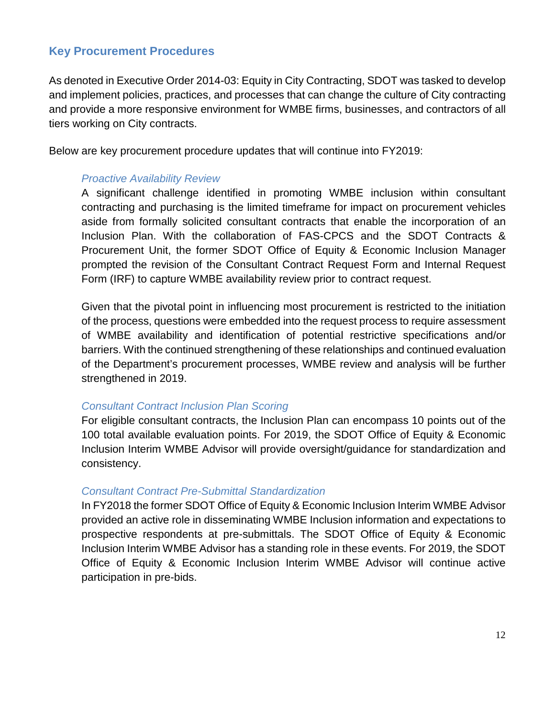# **Key Procurement Procedures**

As denoted in Executive Order 2014-03: Equity in City Contracting, SDOT was tasked to develop and implement policies, practices, and processes that can change the culture of City contracting and provide a more responsive environment for WMBE firms, businesses, and contractors of all tiers working on City contracts.

Below are key procurement procedure updates that will continue into FY2019:

#### *Proactive Availability Review*

A significant challenge identified in promoting WMBE inclusion within consultant contracting and purchasing is the limited timeframe for impact on procurement vehicles aside from formally solicited consultant contracts that enable the incorporation of an Inclusion Plan. With the collaboration of FAS-CPCS and the SDOT Contracts & Procurement Unit, the former SDOT Office of Equity & Economic Inclusion Manager prompted the revision of the Consultant Contract Request Form and Internal Request Form (IRF) to capture WMBE availability review prior to contract request.

Given that the pivotal point in influencing most procurement is restricted to the initiation of the process, questions were embedded into the request process to require assessment of WMBE availability and identification of potential restrictive specifications and/or barriers. With the continued strengthening of these relationships and continued evaluation of the Department's procurement processes, WMBE review and analysis will be further strengthened in 2019.

#### *Consultant Contract Inclusion Plan Scoring*

For eligible consultant contracts, the Inclusion Plan can encompass 10 points out of the 100 total available evaluation points. For 2019, the SDOT Office of Equity & Economic Inclusion Interim WMBE Advisor will provide oversight/guidance for standardization and consistency.

#### *Consultant Contract Pre-Submittal Standardization*

In FY2018 the former SDOT Office of Equity & Economic Inclusion Interim WMBE Advisor provided an active role in disseminating WMBE Inclusion information and expectations to prospective respondents at pre-submittals. The SDOT Office of Equity & Economic Inclusion Interim WMBE Advisor has a standing role in these events. For 2019, the SDOT Office of Equity & Economic Inclusion Interim WMBE Advisor will continue active participation in pre-bids.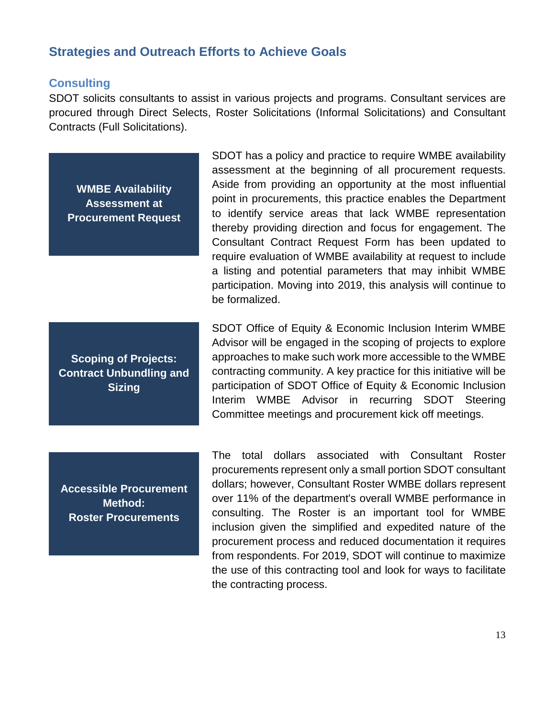# **Strategies and Outreach Efforts to Achieve Goals**

#### **Consulting**

SDOT solicits consultants to assist in various projects and programs. Consultant services are procured through Direct Selects, Roster Solicitations (Informal Solicitations) and Consultant Contracts (Full Solicitations).

**WMBE Availability Assessment at Procurement Request**

**Scoping of Projects: Contract Unbundling and Sizing**

SDOT has a policy and practice to require WMBE availability assessment at the beginning of all procurement requests. Aside from providing an opportunity at the most influential point in procurements, this practice enables the Department to identify service areas that lack WMBE representation thereby providing direction and focus for engagement. The Consultant Contract Request Form has been updated to require evaluation of WMBE availability at request to include a listing and potential parameters that may inhibit WMBE participation. Moving into 2019, this analysis will continue to be formalized.

SDOT Office of Equity & Economic Inclusion Interim WMBE Advisor will be engaged in the scoping of projects to explore approaches to make such work more accessible to the WMBE contracting community. A key practice for this initiative will be participation of SDOT Office of Equity & Economic Inclusion Interim WMBE Advisor in recurring SDOT Steering Committee meetings and procurement kick off meetings.

**Accessible Procurement Method: Roster Procurements**

The total dollars associated with Consultant Roster procurements represent only a small portion SDOT consultant dollars; however, Consultant Roster WMBE dollars represent over 11% of the department's overall WMBE performance in consulting. The Roster is an important tool for WMBE inclusion given the simplified and expedited nature of the procurement process and reduced documentation it requires from respondents. For 2019, SDOT will continue to maximize the use of this contracting tool and look for ways to facilitate the contracting process.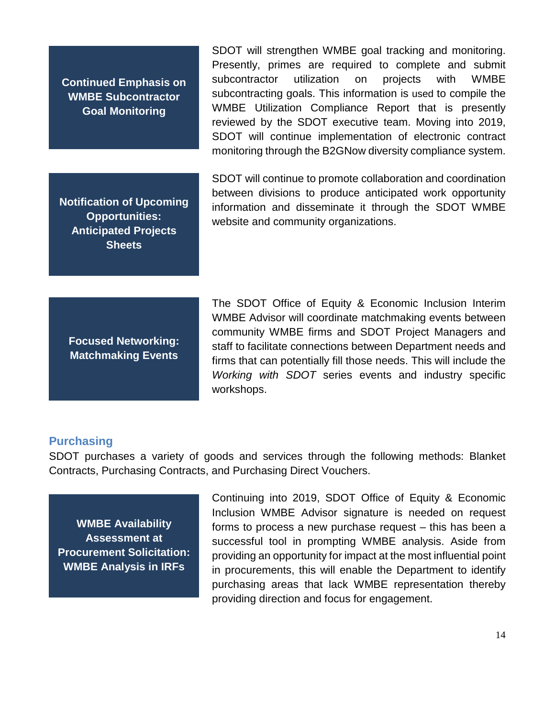**Continued Emphasis on WMBE Subcontractor Goal Monitoring**

**Notification of Upcoming Opportunities: Anticipated Projects Sheets**

SDOT will strengthen WMBE goal tracking and monitoring. Presently, primes are required to complete and submit subcontractor utilization on projects with WMBE subcontracting goals. This information is used to compile the WMBE Utilization Compliance Report that is presently reviewed by the SDOT executive team. Moving into 2019, SDOT will continue implementation of electronic contract monitoring through the B2GNow diversity compliance system.

SDOT will continue to promote collaboration and coordination between divisions to produce anticipated work opportunity information and disseminate it through the SDOT WMBE website and community organizations.

**Focused Networking: Matchmaking Events**

The SDOT Office of Equity & Economic Inclusion Interim WMBE Advisor will coordinate matchmaking events between community WMBE firms and SDOT Project Managers and staff to facilitate connections between Department needs and firms that can potentially fill those needs. This will include the *Working with SDOT* series events and industry specific workshops.

#### **Purchasing**

SDOT purchases a variety of goods and services through the following methods: Blanket Contracts, Purchasing Contracts, and Purchasing Direct Vouchers.

**WMBE Availability Assessment at Procurement Solicitation: WMBE Analysis in IRFs**

Continuing into 2019, SDOT Office of Equity & Economic Inclusion WMBE Advisor signature is needed on request forms to process a new purchase request – this has been a successful tool in prompting WMBE analysis. Aside from providing an opportunity for impact at the most influential point in procurements, this will enable the Department to identify purchasing areas that lack WMBE representation thereby providing direction and focus for engagement.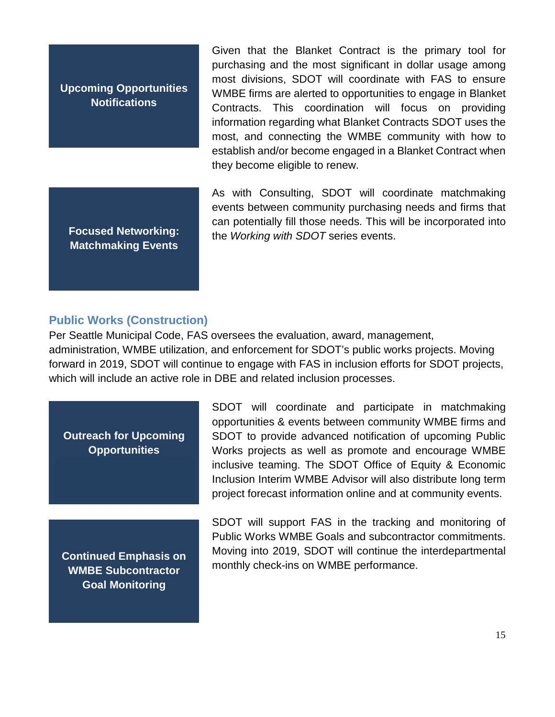**Upcoming Opportunities Notifications**

**Focused Networking: Matchmaking Events**

Given that the Blanket Contract is the primary tool for purchasing and the most significant in dollar usage among most divisions, SDOT will coordinate with FAS to ensure WMBE firms are alerted to opportunities to engage in Blanket Contracts. This coordination will focus on providing information regarding what Blanket Contracts SDOT uses the most, and connecting the WMBE community with how to establish and/or become engaged in a Blanket Contract when they become eligible to renew.

As with Consulting, SDOT will coordinate matchmaking events between community purchasing needs and firms that can potentially fill those needs. This will be incorporated into the *Working with SDOT* series events.

#### **Public Works (Construction)**

Per Seattle Municipal Code, FAS oversees the evaluation, award, management, administration, WMBE utilization, and enforcement for SDOT's public works projects. Moving forward in 2019, SDOT will continue to engage with FAS in inclusion efforts for SDOT projects, which will include an active role in DBE and related inclusion processes.

**Outreach for Upcoming Opportunities**

**Continued Emphasis on WMBE Subcontractor Goal Monitoring**

SDOT will coordinate and participate in matchmaking opportunities & events between community WMBE firms and SDOT to provide advanced notification of upcoming Public Works projects as well as promote and encourage WMBE inclusive teaming. The SDOT Office of Equity & Economic Inclusion Interim WMBE Advisor will also distribute long term project forecast information online and at community events.

SDOT will support FAS in the tracking and monitoring of Public Works WMBE Goals and subcontractor commitments. Moving into 2019, SDOT will continue the interdepartmental monthly check-ins on WMBE performance.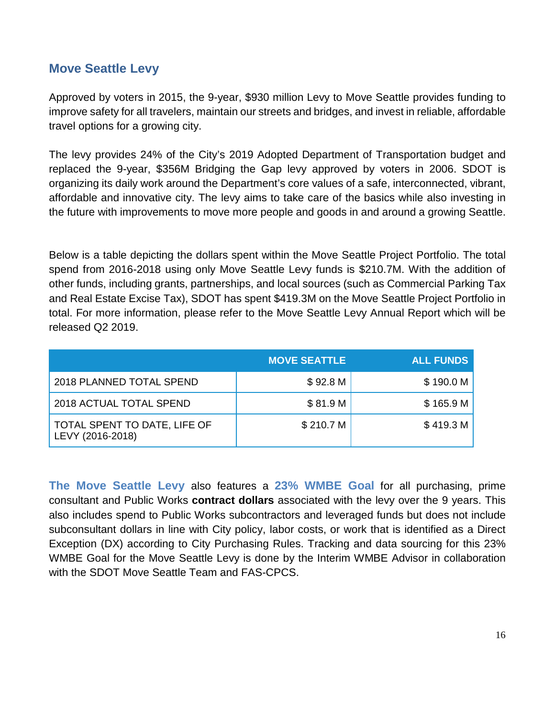# **Move Seattle Levy**

Approved by voters in 2015, the 9-year, \$930 million Levy to Move Seattle provides funding to improve safety for all travelers, maintain our streets and bridges, and invest in reliable, affordable travel options for a growing city.

The levy provides 24% of the City's 2019 Adopted Department of Transportation budget and replaced the 9-year, \$356M Bridging the Gap levy approved by voters in 2006. SDOT is organizing its daily work around the Department's core values of a safe, interconnected, vibrant, affordable and innovative city. The levy aims to take care of the basics while also investing in the future with improvements to move more people and goods in and around a growing Seattle.

Below is a table depicting the dollars spent within the Move Seattle Project Portfolio. The total spend from 2016-2018 using only Move Seattle Levy funds is \$210.7M. With the addition of other funds, including grants, partnerships, and local sources (such as Commercial Parking Tax and Real Estate Excise Tax), SDOT has spent \$419.3M on the Move Seattle Project Portfolio in total. For more information, please refer to the Move Seattle Levy Annual Report which will be released Q2 2019.

|                                                  | <b>MOVE SEATTLE</b> | <b>ALL FUNDS</b> |
|--------------------------------------------------|---------------------|------------------|
| 2018 PLANNED TOTAL SPEND                         | \$92.8 <sub>M</sub> | \$190.0 M        |
| 2018 ACTUAL TOTAL SPEND                          | \$81.9 M            | \$165.9 M        |
| TOTAL SPENT TO DATE, LIFE OF<br>LEVY (2016-2018) | \$210.7 M           | \$419.3 M        |

**The Move Seattle Levy** also features a **23% WMBE Goal** for all purchasing, prime consultant and Public Works **contract dollars** associated with the levy over the 9 years. This also includes spend to Public Works subcontractors and leveraged funds but does not include subconsultant dollars in line with City policy, labor costs, or work that is identified as a Direct Exception (DX) according to City Purchasing Rules. Tracking and data sourcing for this 23% WMBE Goal for the Move Seattle Levy is done by the Interim WMBE Advisor in collaboration with the SDOT Move Seattle Team and FAS-CPCS.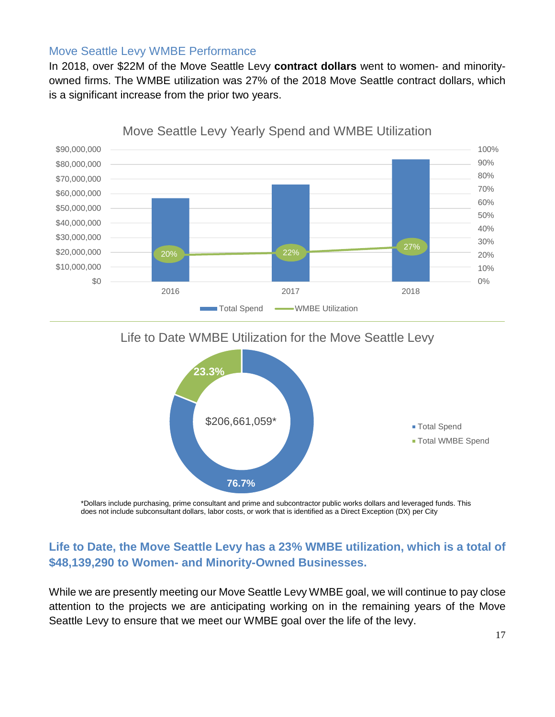#### Move Seattle Levy WMBE Performance

In 2018, over \$22M of the Move Seattle Levy **contract dollars** went to women- and minorityowned firms. The WMBE utilization was 27% of the 2018 Move Seattle contract dollars, which is a significant increase from the prior two years.



Life to Date WMBE Utilization for the Move Seattle Levy



\*Dollars include purchasing, prime consultant and prime and subcontractor public works dollars and leveraged funds. This does not include subconsultant dollars, labor costs, or work that is identified as a Direct Exception (DX) per City

# **Life to Date, the Move Seattle Levy has a 23% WMBE utilization, which is a total of \$48,139,290 to Women- and Minority-Owned Businesses.**

While we are presently meeting our Move Seattle Levy WMBE goal, we will continue to pay close attention to the projects we are anticipating working on in the remaining years of the Move Seattle Levy to ensure that we meet our WMBE goal over the life of the levy.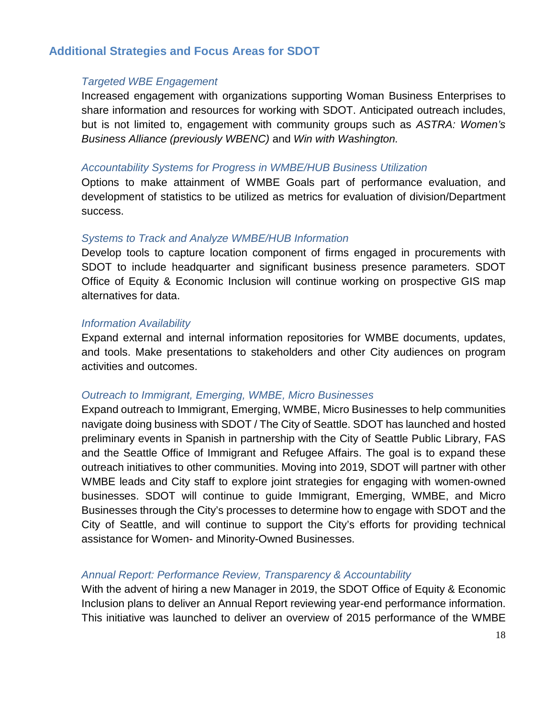# **Additional Strategies and Focus Areas for SDOT**

#### *Targeted WBE Engagement*

Increased engagement with organizations supporting Woman Business Enterprises to share information and resources for working with SDOT. Anticipated outreach includes, but is not limited to, engagement with community groups such as *ASTRA: Women's Business Alliance (previously WBENC)* and *Win with Washington.*

#### *Accountability Systems for Progress in WMBE/HUB Business Utilization*

Options to make attainment of WMBE Goals part of performance evaluation, and development of statistics to be utilized as metrics for evaluation of division/Department success.

#### *Systems to Track and Analyze WMBE/HUB Information*

Develop tools to capture location component of firms engaged in procurements with SDOT to include headquarter and significant business presence parameters. SDOT Office of Equity & Economic Inclusion will continue working on prospective GIS map alternatives for data.

#### *Information Availability*

Expand external and internal information repositories for WMBE documents, updates, and tools. Make presentations to stakeholders and other City audiences on program activities and outcomes.

#### *Outreach to Immigrant, Emerging, WMBE, Micro Businesses*

Expand outreach to Immigrant, Emerging, WMBE, Micro Businesses to help communities navigate doing business with SDOT / The City of Seattle. SDOT has launched and hosted preliminary events in Spanish in partnership with the City of Seattle Public Library, FAS and the Seattle Office of Immigrant and Refugee Affairs. The goal is to expand these outreach initiatives to other communities. Moving into 2019, SDOT will partner with other WMBE leads and City staff to explore joint strategies for engaging with women-owned businesses. SDOT will continue to guide Immigrant, Emerging, WMBE, and Micro Businesses through the City's processes to determine how to engage with SDOT and the City of Seattle, and will continue to support the City's efforts for providing technical assistance for Women- and Minority-Owned Businesses.

## *Annual Report: Performance Review, Transparency & Accountability*

With the advent of hiring a new Manager in 2019, the SDOT Office of Equity & Economic Inclusion plans to deliver an Annual Report reviewing year-end performance information. This initiative was launched to deliver an overview of 2015 performance of the WMBE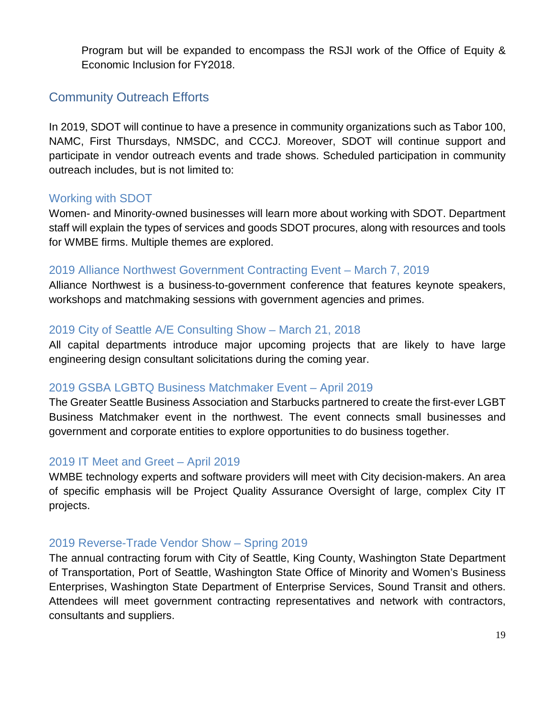Program but will be expanded to encompass the RSJI work of the Office of Equity & Economic Inclusion for FY2018.

# Community Outreach Efforts

In 2019, SDOT will continue to have a presence in community organizations such as Tabor 100, NAMC, First Thursdays, NMSDC, and CCCJ. Moreover, SDOT will continue support and participate in vendor outreach events and trade shows. Scheduled participation in community outreach includes, but is not limited to:

# Working with SDOT

Women- and Minority-owned businesses will learn more about working with SDOT. Department staff will explain the types of services and goods SDOT procures, along with resources and tools for WMBE firms. Multiple themes are explored.

## 2019 Alliance Northwest Government Contracting Event – March 7, 2019

Alliance Northwest is a business-to-government conference that features keynote speakers, workshops and matchmaking sessions with government agencies and primes.

## 2019 City of Seattle A/E Consulting Show – March 21, 2018

All capital departments introduce major upcoming projects that are likely to have large engineering design consultant solicitations during the coming year.

# 2019 GSBA LGBTQ Business Matchmaker Event – April 2019

The Greater Seattle Business Association and Starbucks partnered to create the first-ever LGBT Business Matchmaker event in the northwest. The event connects small businesses and government and corporate entities to explore opportunities to do business together.

# 2019 IT Meet and Greet – April 2019

WMBE technology experts and software providers will meet with City decision-makers. An area of specific emphasis will be Project Quality Assurance Oversight of large, complex City IT projects.

# 2019 Reverse-Trade Vendor Show – Spring 2019

The annual contracting forum with City of Seattle, King County, Washington State Department of Transportation, Port of Seattle, Washington State Office of Minority and Women's Business Enterprises, Washington State Department of Enterprise Services, Sound Transit and others. Attendees will meet government contracting representatives and network with contractors, consultants and suppliers.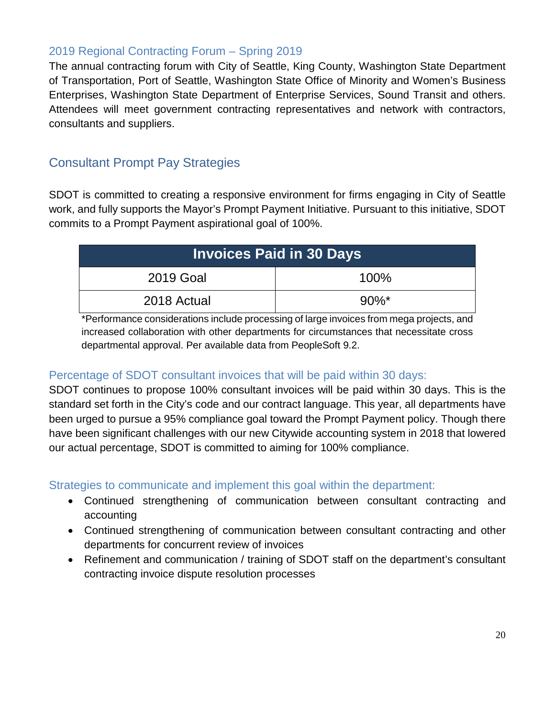# 2019 Regional Contracting Forum – Spring 2019

The annual contracting forum with City of Seattle, King County, Washington State Department of Transportation, Port of Seattle, Washington State Office of Minority and Women's Business Enterprises, Washington State Department of Enterprise Services, Sound Transit and others. Attendees will meet government contracting representatives and network with contractors, consultants and suppliers.

# Consultant Prompt Pay Strategies

SDOT is committed to creating a responsive environment for firms engaging in City of Seattle work, and fully supports the Mayor's Prompt Payment Initiative. Pursuant to this initiative, SDOT commits to a Prompt Payment aspirational goal of 100%.

| <b>Invoices Paid in 30 Days</b> |          |  |  |  |
|---------------------------------|----------|--|--|--|
| 2019 Goal                       | 100%     |  |  |  |
| 2018 Actual                     | $90\%$ * |  |  |  |

\*Performance considerations include processing of large invoices from mega projects, and increased collaboration with other departments for circumstances that necessitate cross departmental approval. Per available data from PeopleSoft 9.2.

# Percentage of SDOT consultant invoices that will be paid within 30 days:

SDOT continues to propose 100% consultant invoices will be paid within 30 days. This is the standard set forth in the City's code and our contract language. This year, all departments have been urged to pursue a 95% compliance goal toward the Prompt Payment policy. Though there have been significant challenges with our new Citywide accounting system in 2018 that lowered our actual percentage, SDOT is committed to aiming for 100% compliance.

# Strategies to communicate and implement this goal within the department:

- Continued strengthening of communication between consultant contracting and accounting
- Continued strengthening of communication between consultant contracting and other departments for concurrent review of invoices
- Refinement and communication / training of SDOT staff on the department's consultant contracting invoice dispute resolution processes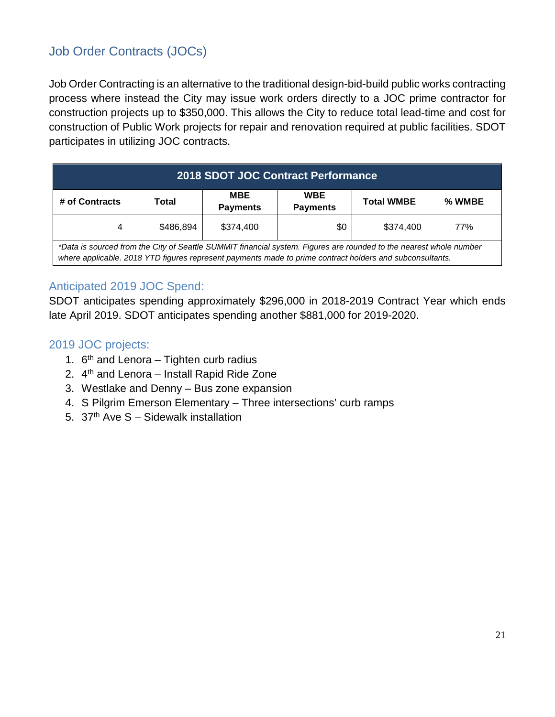# Job Order Contracts (JOCs)

Job Order Contracting is an alternative to the traditional design-bid-build public works contracting process where instead the City may issue work orders directly to a JOC prime contractor for construction projects up to \$350,000. This allows the City to reduce total lead-time and cost for construction of Public Work projects for repair and renovation required at public facilities. SDOT participates in utilizing JOC contracts.

| <b>2018 SDOT JOC Contract Performance</b>                                                                                                                                                                                      |       |                               |                               |                   |        |  |
|--------------------------------------------------------------------------------------------------------------------------------------------------------------------------------------------------------------------------------|-------|-------------------------------|-------------------------------|-------------------|--------|--|
| # of Contracts                                                                                                                                                                                                                 | Total | <b>MBE</b><br><b>Payments</b> | <b>WBE</b><br><b>Payments</b> | <b>Total WMBE</b> | % WMBE |  |
| \$486,894<br>\$0<br>\$374,400<br>\$374,400<br>77%<br>4                                                                                                                                                                         |       |                               |                               |                   |        |  |
| *Data is sourced from the City of Seattle SUMMIT financial system. Figures are rounded to the nearest whole number<br>where applicable. 2018 YTD figures represent payments made to prime contract holders and subconsultants. |       |                               |                               |                   |        |  |

# Anticipated 2019 JOC Spend:

SDOT anticipates spending approximately \$296,000 in 2018-2019 Contract Year which ends late April 2019. SDOT anticipates spending another \$881,000 for 2019-2020.

# 2019 JOC projects:

- 1.  $6<sup>th</sup>$  and Lenora Tighten curb radius
- 2. 4th and Lenora Install Rapid Ride Zone
- 3. Westlake and Denny Bus zone expansion
- 4. S Pilgrim Emerson Elementary Three intersections' curb ramps
- 5. 37<sup>th</sup> Ave  $S -$  Sidewalk installation